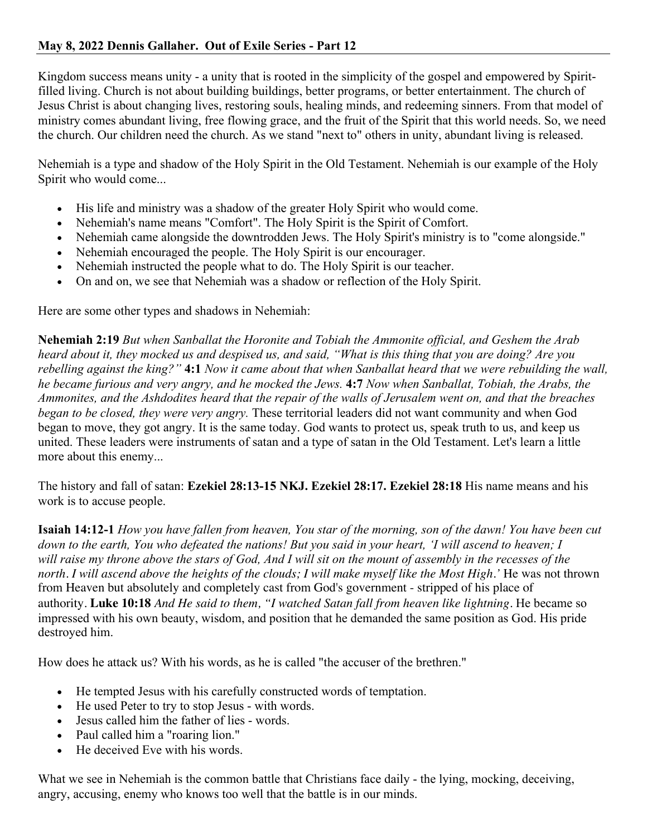Kingdom success means unity - a unity that is rooted in the simplicity of the gospel and empowered by Spiritfilled living. Church is not about building buildings, better programs, or better entertainment. The church of Jesus Christ is about changing lives, restoring souls, healing minds, and redeeming sinners. From that model of ministry comes abundant living, free flowing grace, and the fruit of the Spirit that this world needs. So, we need the church. Our children need the church. As we stand "next to" others in unity, abundant living is released.

Nehemiah is a type and shadow of the Holy Spirit in the Old Testament. Nehemiah is our example of the Holy Spirit who would come...

- His life and ministry was a shadow of the greater Holy Spirit who would come.
- Nehemiah's name means "Comfort". The Holy Spirit is the Spirit of Comfort.
- Nehemiah came alongside the downtrodden Jews. The Holy Spirit's ministry is to "come alongside."
- Nehemiah encouraged the people. The Holy Spirit is our encourager.
- Nehemiah instructed the people what to do. The Holy Spirit is our teacher.
- On and on, we see that Nehemiah was a shadow or reflection of the Holy Spirit.

Here are some other types and shadows in Nehemiah:

**Nehemiah 2:19** *But when Sanballat the Horonite and Tobiah the Ammonite official, and Geshem the Arab heard about it, they mocked us and despised us, and said, "What is this thing that you are doing? Are you rebelling against the king?"* **4:1** *Now it came about that when Sanballat heard that we were rebuilding the wall, he became furious and very angry, and he mocked the Jews.* **4:7** *Now when Sanballat, Tobiah, the Arabs, the Ammonites, and the Ashdodites heard that the repair of the walls of Jerusalem went on, and that the breaches began to be closed, they were very angry.* These territorial leaders did not want community and when God began to move, they got angry. It is the same today. God wants to protect us, speak truth to us, and keep us united. These leaders were instruments of satan and a type of satan in the Old Testament. Let's learn a little more about this enemy...

The history and fall of satan: **Ezekiel 28:13-15 NKJ. Ezekiel 28:17. Ezekiel 28:18** His name means and his work is to accuse people.

**Isaiah 14:12-1** *How you have fallen from heaven, You star of the morning, son of the dawn! You have been cut down to the earth, You who defeated the nations! But you said in your heart, 'I will ascend to heaven; I will raise my throne above the stars of God, And I will sit on the mount of assembly in the recesses of the north. I will ascend above the heights of the clouds; I will make myself like the Most High.'* He was not thrown from Heaven but absolutely and completely cast from God's government - stripped of his place of authority. **Luke 10:18** *And He said to them, "I watched Satan fall from heaven like lightning.* He became so impressed with his own beauty, wisdom, and position that he demanded the same position as God. His pride destroyed him.

How does he attack us? With his words, as he is called "the accuser of the brethren."

- He tempted Jesus with his carefully constructed words of temptation.
- He used Peter to try to stop Jesus with words.
- Jesus called him the father of lies words.
- Paul called him a "roaring lion."
- He deceived Eve with his words.

What we see in Nehemiah is the common battle that Christians face daily - the lying, mocking, deceiving, angry, accusing, enemy who knows too well that the battle is in our minds.